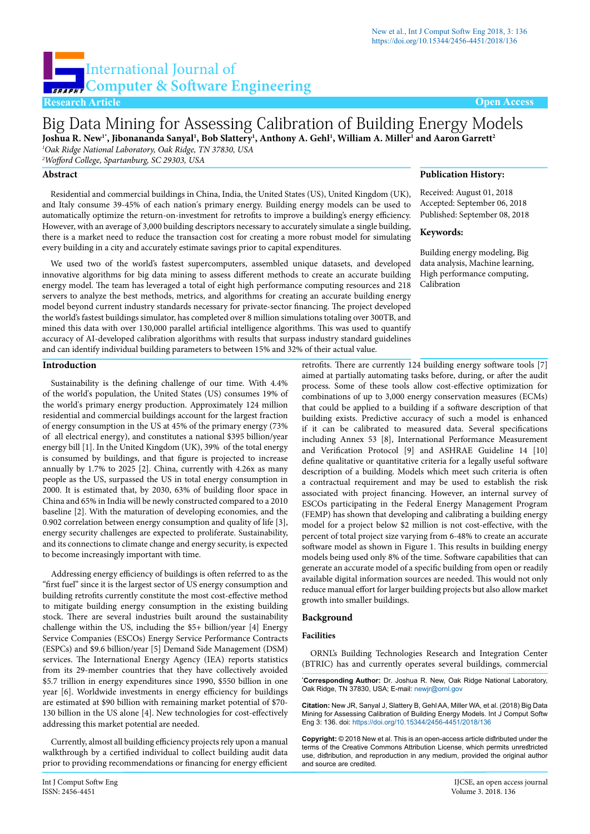# International Journal of **Computer & Software Engineering**

**Research Article Open Access**

## Big Data Mining for Assessing Calibration of Building Energy Models Joshua R. New<sup>1</sup>', Jibonananda Sanyal<sup>ı</sup>, Bob Slattery<sup>ı</sup>, Anthony A. Gehl<sup>ı</sup>, William A. Miller<sup>ı</sup> and Aaron Garrett<sup>2</sup>

*1 Oak Ridge National Laboratory, Oak Ridge, TN 37830, USA*

*2 Wofford College, Spartanburg, SC 29303, USA*

#### **Abstract**

Residential and commercial buildings in China, India, the United States (US), United Kingdom (UK), and Italy consume 39-45% of each nation's primary energy. Building energy models can be used to automatically optimize the return-on-investment for retrofits to improve a building's energy efficiency. However, with an average of 3,000 building descriptors necessary to accurately simulate a single building, there is a market need to reduce the transaction cost for creating a more robust model for simulating every building in a city and accurately estimate savings prior to capital expenditures.

We used two of the world's fastest supercomputers, assembled unique datasets, and developed innovative algorithms for big data mining to assess different methods to create an accurate building energy model. The team has leveraged a total of eight high performance computing resources and 218 servers to analyze the best methods, metrics, and algorithms for creating an accurate building energy model beyond current industry standards necessary for private-sector financing. The project developed the world's fastest buildings simulator, has completed over 8 million simulations totaling over 300TB, and mined this data with over 130,000 parallel artificial intelligence algorithms. This was used to quantify accuracy of AI-developed calibration algorithms with results that surpass industry standard guidelines and can identify individual building parameters to between 15% and 32% of their actual value.

**Introduction**

Sustainability is the defining challenge of our time. With 4.4% of the world's population, the United States (US) consumes 19% of the world's primary energy production. Approximately 124 million residential and commercial buildings account for the largest fraction of energy consumption in the US at 45% of the primary energy (73% of all electrical energy), and constitutes a national \$395 billion/year energy bill [1]. In the United Kingdom (UK), 39% of the total energy is consumed by buildings, and that figure is projected to increase annually by 1.7% to 2025 [2]. China, currently with 4.26x as many people as the US, surpassed the US in total energy consumption in 2000. It is estimated that, by 2030, 63% of building floor space in China and 65% in India will be newly constructed compared to a 2010 baseline [2]. With the maturation of developing economies, and the 0.902 correlation between energy consumption and quality of life [3], energy security challenges are expected to proliferate. Sustainability, and its connections to climate change and energy security, is expected to become increasingly important with time.

Addressing energy efficiency of buildings is often referred to as the "first fuel" since it is the largest sector of US energy consumption and building retrofits currently constitute the most cost-effective method to mitigate building energy consumption in the existing building stock. There are several industries built around the sustainability challenge within the US, including the \$5+ billion/year [4] Energy Service Companies (ESCOs) Energy Service Performance Contracts (ESPCs) and \$9.6 billion/year [5] Demand Side Management (DSM) services. The International Energy Agency (IEA) reports statistics from its 29-member countries that they have collectively avoided \$5.7 trillion in energy expenditures since 1990, \$550 billion in one year [6]. Worldwide investments in energy efficiency for buildings are estimated at \$90 billion with remaining market potential of \$70- 130 billion in the US alone [4]. New technologies for cost-effectively addressing this market potential are needed.

Currently, almost all building efficiency projects rely upon a manual walkthrough by a certified individual to collect building audit data prior to providing recommendations or financing for energy efficient

### **Publication History:**

Received: August 01, 2018 Accepted: September 06, 2018 Published: September 08, 2018

#### **Keywords:**

Building energy modeling, Big data analysis, Machine learning, High performance computing, Calibration

retrofits. There are currently 124 building energy software tools [7] aimed at partially automating tasks before, during, or after the audit process. Some of these tools allow cost-effective optimization for combinations of up to 3,000 energy conservation measures (ECMs) that could be applied to a building if a software description of that building exists. Predictive accuracy of such a model is enhanced if it can be calibrated to measured data. Several specifications including Annex 53 [8], International Performance Measurement and Verification Protocol [9] and ASHRAE Guideline 14 [10] define qualitative or quantitative criteria for a legally useful software description of a building. Models which meet such criteria is often a contractual requirement and may be used to establish the risk associated with project financing. However, an internal survey of ESCOs participating in the Federal Energy Management Program (FEMP) has shown that developing and calibrating a building energy model for a project below \$2 million is not cost-effective, with the percent of total project size varying from 6-48% to create an accurate software model as shown in Figure 1. This results in building energy models being used only 8% of the time. Software capabilities that can generate an accurate model of a specific building from open or readily available digital information sources are needed. This would not only reduce manual effort for larger building projects but also allow market growth into smaller buildings.

#### **Background**

#### **Facilities**

ORNL's Building Technologies Research and Integration Center (BTRIC) has and currently operates several buildings, commercial

**\* Corresponding Author:** Dr. Joshua R. New, Oak Ridge National Laboratory, Oak Ridge, TN 37830, USA; E-mail: newjr@ornl.gov

**Citation:** New JR, Sanyal J, Slattery B, Gehl AA, Miller WA, et al. (2018) Big Data Mining for Assessing Calibration of Building Energy Models. Int J Comput Softw Eng 3: 136. doi: <https://doi.org/10.15344/2456-4451/2018/136>

**Copyright:** © 2018 New et al. This is an open-access article distributed under the terms of the Creative Commons Attribution License, which permits unrestricted use, distribution, and reproduction in any medium, provided the original author and source are credited.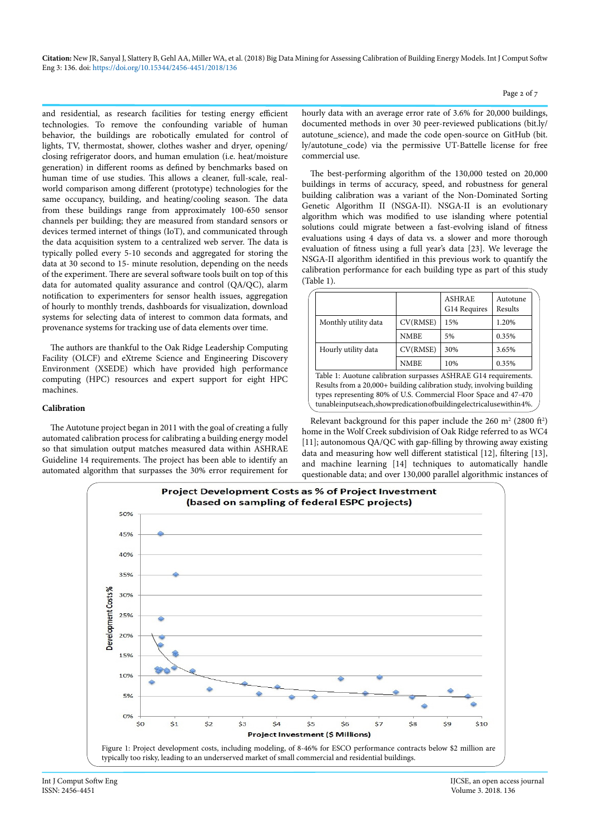and residential, as research facilities for testing energy efficient technologies. To remove the confounding variable of human behavior, the buildings are robotically emulated for control of lights, TV, thermostat, shower, clothes washer and dryer, opening/ closing refrigerator doors, and human emulation (i.e. heat/moisture generation) in different rooms as defined by benchmarks based on human time of use studies. This allows a cleaner, full-scale, realworld comparison among different (prototype) technologies for the same occupancy, building, and heating/cooling season. The data from these buildings range from approximately 100-650 sensor channels per building; they are measured from standard sensors or devices termed internet of things (IoT), and communicated through the data acquisition system to a centralized web server. The data is typically polled every 5-10 seconds and aggregated for storing the data at 30 second to 15- minute resolution, depending on the needs of the experiment. There are several software tools built on top of this data for automated quality assurance and control (QA/QC), alarm notification to experimenters for sensor health issues, aggregation of hourly to monthly trends, dashboards for visualization, download systems for selecting data of interest to common data formats, and provenance systems for tracking use of data elements over time.

The authors are thankful to the Oak Ridge Leadership Computing Facility (OLCF) and eXtreme Science and Engineering Discovery Environment (XSEDE) which have provided high performance computing (HPC) resources and expert support for eight HPC machines.

#### **Calibration**

The Autotune project began in 2011 with the goal of creating a fully automated calibration process for calibrating a building energy model so that simulation output matches measured data within ASHRAE Guideline 14 requirements. The project has been able to identify an automated algorithm that surpasses the 30% error requirement for hourly data with an average error rate of 3.6% for 20,000 buildings, documented methods in over 30 peer-reviewed publications ([bit.ly/](http://bit.ly/autotune_science) [autotune\\_science\)](http://bit.ly/autotune_science), and made the code open-source on GitHub [\(bit.](http://bit.ly/autotune_code) [ly/autotune\\_code](http://bit.ly/autotune_code)) via the permissive UT-Battelle license for free commercial use.

The best-performing algorithm of the 130,000 tested on 20,000 buildings in terms of accuracy, speed, and robustness for general building calibration was a variant of the Non-Dominated Sorting Genetic Algorithm II (NSGA-II). NSGA-II is an evolutionary algorithm which was modified to use islanding where potential solutions could migrate between a fast-evolving island of fitness evaluations using 4 days of data vs. a slower and more thorough evaluation of fitness using a full year's data [23]. We leverage the NSGA-II algorithm identified in this previous work to quantify the calibration performance for each building type as part of this study (Table 1).

|                                                                                                                                               |             | <b>ASHRAE</b><br>G14 Requires | Autotune<br>Results |
|-----------------------------------------------------------------------------------------------------------------------------------------------|-------------|-------------------------------|---------------------|
| Monthly utility data                                                                                                                          | CV(RMSE)    | 15%                           | 1.20%               |
|                                                                                                                                               | <b>NMBE</b> | 5%                            | 0.35%               |
| Hourly utility data                                                                                                                           | CV(RMSE)    | 30%                           | 3.65%               |
|                                                                                                                                               | <b>NMBE</b> | 10%                           | 0.35%               |
| Table 1: Auotune calibration surpasses ASHRAE G14 requirements.                                                                               |             |                               |                     |
| Results from a 20,000+ building calibration study, involving building                                                                         |             |                               |                     |
| types representing 80% of U.S. Commercial Floor Space and 47-470<br>tunableinputseach, show predication of building electrical use within 4%. |             |                               |                     |

Relevant background for this paper include the  $260 \text{ m}^2$  (2800 ft<sup>2</sup>) home in the Wolf Creek subdivision of Oak Ridge referred to as WC4 [11]; autonomous QA/QC with gap-filling by throwing away existing data and measuring how well different statistical [12], filtering [13], and machine learning [14] techniques to automatically handle questionable data; and over 130,000 parallel algorithmic instances of



Int J Comput Softw Eng IJCSE, an open access journal ISSN: 2456-4451<br>ISSN: 2456-4451<br>Volume 3. 2018. 136 Volume 3. 2018. 136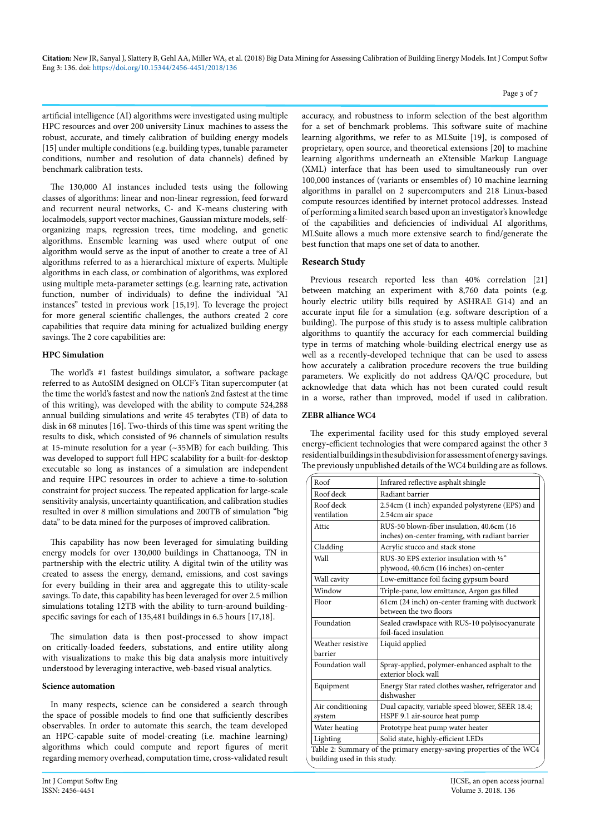artificial intelligence (AI) algorithms were investigated using multiple HPC resources and over 200 university Linux machines to assess the robust, accurate, and timely calibration of building energy models [15] under multiple conditions (e.g. building types, tunable parameter conditions, number and resolution of data channels) defined by benchmark calibration tests.

The 130,000 AI instances included tests using the following classes of algorithms: linear and non-linear regression, feed forward and recurrent neural networks, C- and K-means clustering with localmodels, support vector machines, Gaussian mixture models, selforganizing maps, regression trees, time modeling, and genetic algorithms. Ensemble learning was used where output of one algorithm would serve as the input of another to create a tree of AI algorithms referred to as a hierarchical mixture of experts. Multiple algorithms in each class, or combination of algorithms, was explored using multiple meta-parameter settings (e.g. learning rate, activation function, number of individuals) to define the individual "AI instances" tested in previous work [15,19]. To leverage the project for more general scientific challenges, the authors created 2 core capabilities that require data mining for actualized building energy savings. The 2 core capabilities are:

#### **HPC Simulation**

The world's #1 fastest buildings simulator, a software package referred to as AutoSIM designed on OLCF's Titan supercomputer (at the time the world's fastest and now the nation's 2nd fastest at the time of this writing), was developed with the ability to compute 524,288 annual building simulations and write 45 terabytes (TB) of data to disk in 68 minutes [16]. Two-thirds of this time was spent writing the results to disk, which consisted of 96 channels of simulation results at 15-minute resolution for a year (~35MB) for each building. This was developed to support full HPC scalability for a built-for-desktop executable so long as instances of a simulation are independent and require HPC resources in order to achieve a time-to-solution constraint for project success. The repeated application for large-scale sensitivity analysis, uncertainty quantification, and calibration studies resulted in over 8 million simulations and 200TB of simulation "big data" to be data mined for the purposes of improved calibration.

This capability has now been leveraged for simulating building energy models for over 130,000 buildings in Chattanooga, TN in partnership with the electric utility. A digital twin of the utility was created to assess the energy, demand, emissions, and cost savings for every building in their area and aggregate this to utility-scale savings. To date, this capability has been leveraged for over 2.5 million simulations totaling 12TB with the ability to turn-around buildingspecific savings for each of 135,481 buildings in 6.5 hours [17,18].

The simulation data is then post-processed to show impact on critically-loaded feeders, substations, and entire utility along with visualizations to make this big data analysis more intuitively understood by leveraging interactive, web-based visual analytics.

#### **Science automation**

In many respects, science can be considered a search through the space of possible models to find one that sufficiently describes observables. In order to automate this search, the team developed an HPC-capable suite of model-creating (i.e. machine learning) algorithms which could compute and report figures of merit regarding memory overhead, computation time, cross-validated result

accuracy, and robustness to inform selection of the best algorithm for a set of benchmark problems. This software suite of machine learning algorithms, we refer to as MLSuite [19], is composed of proprietary, open source, and theoretical extensions [20] to machine learning algorithms underneath an eXtensible Markup Language (XML) interface that has been used to simultaneously run over 100,000 instances of (variants or ensembles of) 10 machine learning algorithms in parallel on 2 supercomputers and 218 Linux-based compute resources identified by internet protocol addresses. Instead of performing a limited search based upon an investigator's knowledge of the capabilities and deficiencies of individual AI algorithms, MLSuite allows a much more extensive search to find/generate the best function that maps one set of data to another.

#### **Research Study**

Previous research reported less than 40% correlation [21] between matching an experiment with 8,760 data points (e.g. hourly electric utility bills required by ASHRAE G14) and an accurate input file for a simulation (e.g. software description of a building). The purpose of this study is to assess multiple calibration algorithms to quantify the accuracy for each commercial building type in terms of matching whole-building electrical energy use as well as a recently-developed technique that can be used to assess how accurately a calibration procedure recovers the true building parameters. We explicitly do not address QA/QC procedure, but acknowledge that data which has not been curated could result in a worse, rather than improved, model if used in calibration.

#### **ZEBR alliance WC4**

The experimental facility used for this study employed several energy-efficient technologies that were compared against the other 3 residential buildings in the subdivision for assessment of energy savings. The previously unpublished details of the WC4 building are as follows.

| Roof                         | Infrared reflective asphalt shingle                                                           |
|------------------------------|-----------------------------------------------------------------------------------------------|
| Roof deck                    | Radiant barrier                                                                               |
| Roof deck<br>ventilation     | 2.54cm (1 inch) expanded polystyrene (EPS) and<br>2.54cm air space                            |
| Attic                        | RUS-50 blown-fiber insulation, 40.6cm (16)<br>inches) on-center framing, with radiant barrier |
| Cladding                     | Acrylic stucco and stack stone                                                                |
| Wall                         | RUS-30 EPS exterior insulation with 1/2"<br>plywood, 40.6cm (16 inches) on-center             |
| Wall cavity                  | Low-emittance foil facing gypsum board                                                        |
| Window                       | Triple-pane, low emittance, Argon gas filled                                                  |
| Floor                        | 61cm (24 inch) on-center framing with ductwork<br>between the two floors                      |
| Foundation                   | Sealed crawlspace with RUS-10 polyisocyanurate<br>foil-faced insulation                       |
| Weather resistive<br>barrier | Liquid applied                                                                                |
| Foundation wall              | Spray-applied, polymer-enhanced asphalt to the<br>exterior block wall                         |
| Equipment                    | Energy Star rated clothes washer, refrigerator and<br>dishwasher                              |
| Air conditioning<br>system   | Dual capacity, variable speed blower, SEER 18.4;<br>HSPF 9.1 air-source heat pump             |
| Water heating                | Prototype heat pump water heater                                                              |
| Lighting                     | Solid state, highly-efficient LEDs                                                            |
| building used in this study. | Table 2: Summary of the primary energy-saving properties of the WC4                           |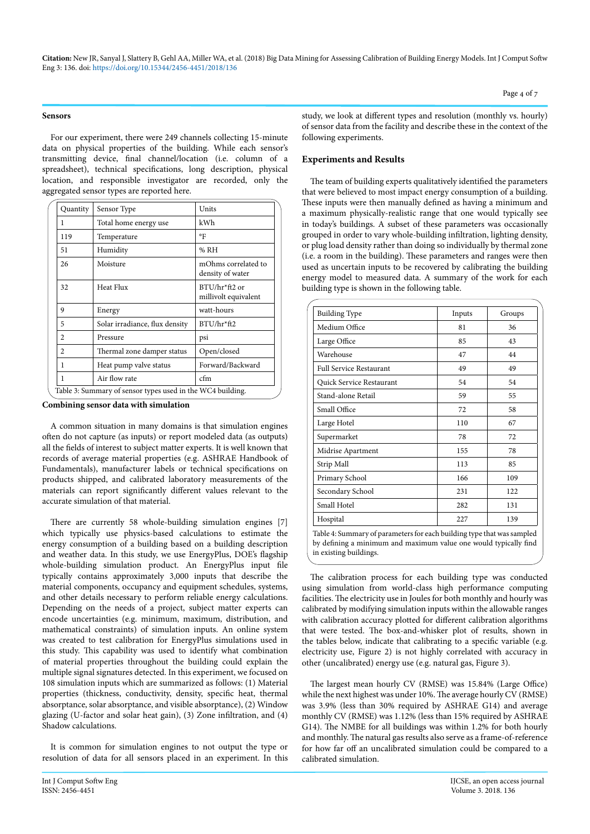#### **Sensors**

For our experiment, there were 249 channels collecting 15-minute data on physical properties of the building. While each sensor's transmitting device, final channel/location (i.e. column of a spreadsheet), technical specifications, long description, physical location, and responsible investigator are recorded, only the aggregated sensor types are reported here.

| Quantity       | Sensor Type                                                | Units                                   |
|----------------|------------------------------------------------------------|-----------------------------------------|
| 1              | Total home energy use                                      | kWh                                     |
| 119            | Temperature                                                | °F                                      |
| 51             | Humidity                                                   | % RH                                    |
| 26             | Moisture                                                   | mOhms correlated to<br>density of water |
| 32             | Heat Flux                                                  | BTU/hr*ft2 or<br>millivolt equivalent   |
| 9              | Energy                                                     | watt-hours                              |
| 5              | Solar irradiance, flux density                             | BTU/hr*ft2                              |
| 2              | Pressure                                                   | psi                                     |
| $\mathfrak{D}$ | Thermal zone damper status                                 | Open/closed                             |
| 1              | Heat pump valve status                                     | Forward/Backward                        |
| 1              | Air flow rate                                              | cfm                                     |
|                | Table 3: Summary of sensor types used in the WC4 building. |                                         |

**Combining sensor data with simulation**

A common situation in many domains is that simulation engines often do not capture (as inputs) or report modeled data (as outputs) all the fields of interest to subject matter experts. It is well known that records of average material properties (e.g. ASHRAE Handbook of Fundamentals), manufacturer labels or technical specifications on products shipped, and calibrated laboratory measurements of the materials can report significantly different values relevant to the accurate simulation of that material.

There are currently 58 whole-building simulation engines [7] which typically use physics-based calculations to estimate the energy consumption of a building based on a building description and weather data. In this study, we use EnergyPlus, DOE's flagship whole-building simulation product. An EnergyPlus input file typically contains approximately 3,000 inputs that describe the material components, occupancy and equipment schedules, systems, and other details necessary to perform reliable energy calculations. Depending on the needs of a project, subject matter experts can encode uncertainties (e.g. minimum, maximum, distribution, and mathematical constraints) of simulation inputs. An online system was created to test calibration for EnergyPlus simulations used in this study. This capability was used to identify what combination of material properties throughout the building could explain the multiple signal signatures detected. In this experiment, we focused on 108 simulation inputs which are summarized as follows: (1) Material properties (thickness, conductivity, density, specific heat, thermal absorptance, solar absorptance, and visible absorptance), (2) Window glazing (U-factor and solar heat gain), (3) Zone infiltration, and (4) Shadow calculations.

It is common for simulation engines to not output the type or resolution of data for all sensors placed in an experiment. In this

study, we look at different types and resolution (monthly vs. hourly) of sensor data from the facility and describe these in the context of the following experiments.

#### **Experiments and Results**

in existing buildings.

The team of building experts qualitatively identified the parameters that were believed to most impact energy consumption of a building. These inputs were then manually defined as having a minimum and a maximum physically-realistic range that one would typically see in today's buildings. A subset of these parameters was occasionally grouped in order to vary whole-building infiltration, lighting density, or plug load density rather than doing so individually by thermal zone (i.e. a room in the building). These parameters and ranges were then used as uncertain inputs to be recovered by calibrating the building energy model to measured data. A summary of the work for each building type is shown in the following table.

| <b>Building Type</b>     | Inputs | Groups |
|--------------------------|--------|--------|
| Medium Office            | 81     | 36     |
| Large Office             | 85     | 43     |
| Warehouse                | 47     | 44     |
| Full Service Restaurant  | 49     | 49     |
| Quick Service Restaurant | 54     | 54     |
| Stand-alone Retail       | 59     | 55     |
| Small Office             | 72     | 58     |
| Large Hotel              | 110    | 67     |
| Supermarket              | 78     | 72     |
| Midrise Apartment        | 155    | 78     |
| Strip Mall               | 113    | 85     |
| Primary School           | 166    | 109    |
| Secondary School         | 231    | 122    |
| Small Hotel              | 282    | 131    |
| Hospital                 | 227    | 139    |

The calibration process for each building type was conducted using simulation from world-class high performance computing facilities. The electricity use in Joules for both monthly and hourly was calibrated by modifying simulation inputs within the allowable ranges with calibration accuracy plotted for different calibration algorithms that were tested. The box-and-whisker plot of results, shown in the tables below, indicate that calibrating to a specific variable (e.g. electricity use, Figure 2) is not highly correlated with accuracy in other (uncalibrated) energy use (e.g. natural gas, Figure 3).

The largest mean hourly CV (RMSE) was 15.84% (Large Office) while the next highest was under 10%. The average hourly CV (RMSE) was 3.9% (less than 30% required by ASHRAE G14) and average monthly CV (RMSE) was 1.12% (less than 15% required by ASHRAE G14). The NMBE for all buildings was within 1.2% for both hourly and monthly. The natural gas results also serve as a frame-of-reference for how far off an uncalibrated simulation could be compared to a calibrated simulation.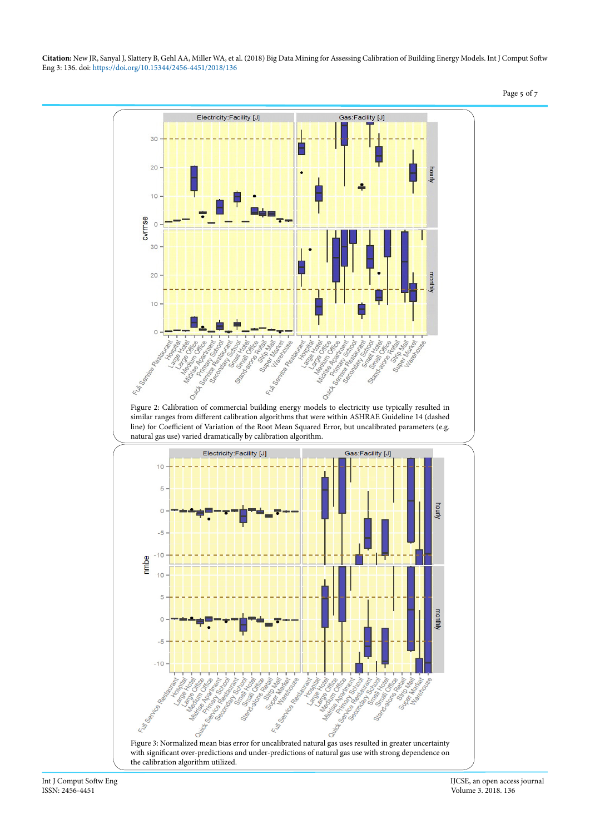

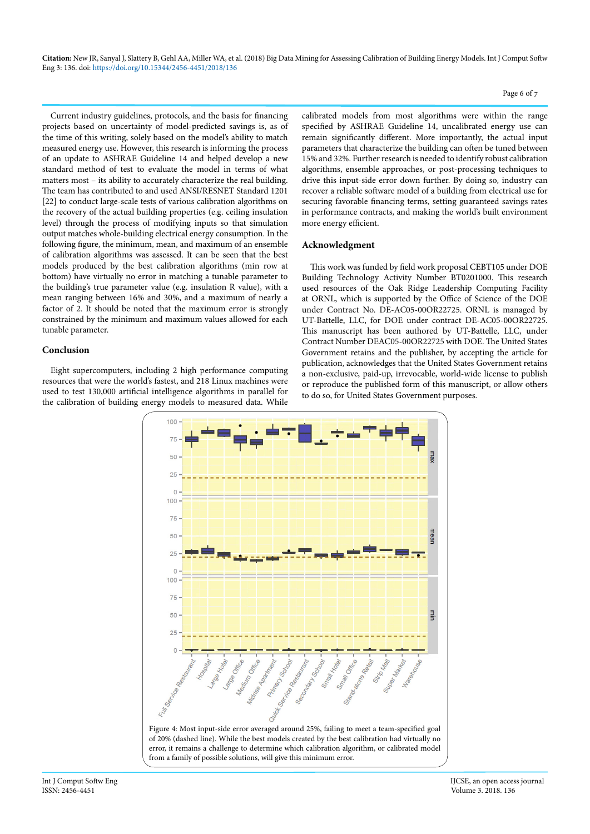Current industry guidelines, protocols, and the basis for financing projects based on uncertainty of model-predicted savings is, as of the time of this writing, solely based on the model's ability to match measured energy use. However, this research is informing the process of an update to ASHRAE Guideline 14 and helped develop a new standard method of test to evaluate the model in terms of what matters most – its ability to accurately characterize the real building. The team has contributed to and used ANSI/RESNET Standard 1201 [22] to conduct large-scale tests of various calibration algorithms on the recovery of the actual building properties (e.g. ceiling insulation level) through the process of modifying inputs so that simulation output matches whole-building electrical energy consumption. In the following figure, the minimum, mean, and maximum of an ensemble of calibration algorithms was assessed. It can be seen that the best models produced by the best calibration algorithms (min row at bottom) have virtually no error in matching a tunable parameter to the building's true parameter value (e.g. insulation R value), with a mean ranging between 16% and 30%, and a maximum of nearly a factor of 2. It should be noted that the maximum error is strongly constrained by the minimum and maximum values allowed for each tunable parameter.

### **Conclusion**

Eight supercomputers, including 2 high performance computing resources that were the world's fastest, and 218 Linux machines were used to test 130,000 artificial intelligence algorithms in parallel for the calibration of building energy models to measured data. While

calibrated models from most algorithms were within the range specified by ASHRAE Guideline 14, uncalibrated energy use can remain significantly different. More importantly, the actual input parameters that characterize the building can often be tuned between 15% and 32%. Further research is needed to identify robust calibration algorithms, ensemble approaches, or post-processing techniques to drive this input-side error down further. By doing so, industry can recover a reliable software model of a building from electrical use for securing favorable financing terms, setting guaranteed savings rates in performance contracts, and making the world's built environment more energy efficient.

### **Acknowledgment**

This work was funded by field work proposal CEBT105 under DOE Building Technology Activity Number BT0201000. This research used resources of the Oak Ridge Leadership Computing Facility at ORNL, which is supported by the Office of Science of the DOE under Contract No. DE-AC05-00OR22725. ORNL is managed by UT-Battelle, LLC, for DOE under contract DE-AC05-00OR22725. This manuscript has been authored by UT-Battelle, LLC, under Contract Number DEAC05-00OR22725 with DOE. The United States Government retains and the publisher, by accepting the article for publication, acknowledges that the United States Government retains a non-exclusive, paid-up, irrevocable, world-wide license to publish or reproduce the published form of this manuscript, or allow others to do so, for United States Government purposes.